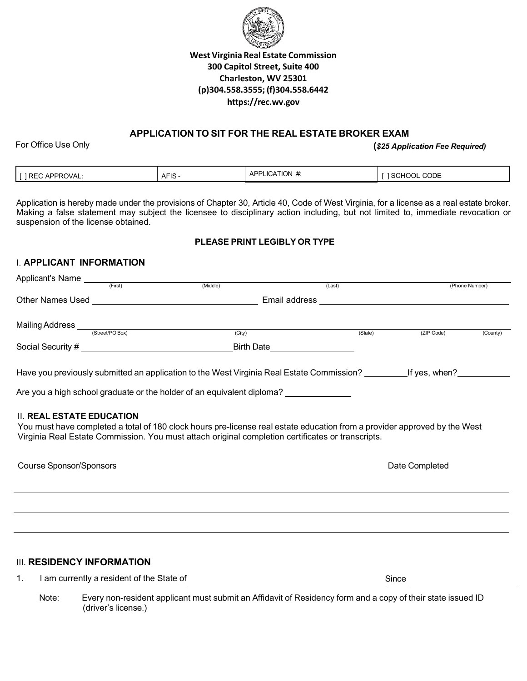

## **West Virginia Real Estate Commission 300 Capitol Street, Suite 400 Charleston, WV 25301 (p)304.558.3555; (f)304.558.6442 https://rec.wv.gov**

### **APPLICATION TO SIT FOR THE REAL ESTATE BROKER EXAM**

For Office Use Only

Applicant's Name

**(***\$25 Application Fee Required)*

|  | <b>APPROVAL:</b><br>1.002<br><u>вв</u><br>- U | $\sim$ $\sim$ $\sim$<br>$\Delta$ – $\Delta$<br><b>ALIV</b> | $\cdot$ TION $\ast$<br>.ICA<br>AD"<br>יר | <b>CODE</b><br>`SCHOOL |
|--|-----------------------------------------------|------------------------------------------------------------|------------------------------------------|------------------------|
|--|-----------------------------------------------|------------------------------------------------------------|------------------------------------------|------------------------|

Application is hereby made under the provisions of Chapter 30, Article 40, Code of West Virginia, for a license as a real estate broker. Making a false statement may subject the licensee to disciplinary action including, but not limited to, immediate revocation or suspension of the license obtained.

#### **PLEASE PRINT LEGIBLY OR TYPE**

### I. **APPLICANT INFORMATION**

| (City)<br>(ZIP Code)<br>(State)<br>Birth Date___________________<br>Are you a high school graduate or the holder of an equivalent diploma?<br><b>II. REAL ESTATE EDUCATION</b><br>You must have completed a total of 180 clock hours pre-license real estate education from a provider approved by the West<br>Virginia Real Estate Commission. You must attach original completion certificates or transcripts.<br><b>Course Sponsor/Sponsors</b><br>Date Completed<br><b>III. RESIDENCY INFORMATION</b><br>Since <u>____________</u> | Applicants Name<br>(First) | (Middle) | (Last) |  |  | (Phone Number)        |
|----------------------------------------------------------------------------------------------------------------------------------------------------------------------------------------------------------------------------------------------------------------------------------------------------------------------------------------------------------------------------------------------------------------------------------------------------------------------------------------------------------------------------------------|----------------------------|----------|--------|--|--|-----------------------|
|                                                                                                                                                                                                                                                                                                                                                                                                                                                                                                                                        |                            |          |        |  |  |                       |
|                                                                                                                                                                                                                                                                                                                                                                                                                                                                                                                                        |                            |          |        |  |  |                       |
|                                                                                                                                                                                                                                                                                                                                                                                                                                                                                                                                        |                            |          |        |  |  | $\overline{($ County) |
|                                                                                                                                                                                                                                                                                                                                                                                                                                                                                                                                        |                            |          |        |  |  |                       |
|                                                                                                                                                                                                                                                                                                                                                                                                                                                                                                                                        |                            |          |        |  |  |                       |
|                                                                                                                                                                                                                                                                                                                                                                                                                                                                                                                                        |                            |          |        |  |  |                       |
|                                                                                                                                                                                                                                                                                                                                                                                                                                                                                                                                        |                            |          |        |  |  |                       |
|                                                                                                                                                                                                                                                                                                                                                                                                                                                                                                                                        |                            |          |        |  |  |                       |
|                                                                                                                                                                                                                                                                                                                                                                                                                                                                                                                                        |                            |          |        |  |  |                       |
|                                                                                                                                                                                                                                                                                                                                                                                                                                                                                                                                        |                            |          |        |  |  |                       |
|                                                                                                                                                                                                                                                                                                                                                                                                                                                                                                                                        | 1.                         |          |        |  |  |                       |

Note: Every non-resident applicant must submit an Affidavit of Residency form and a copy of their state issued ID (driver's license.)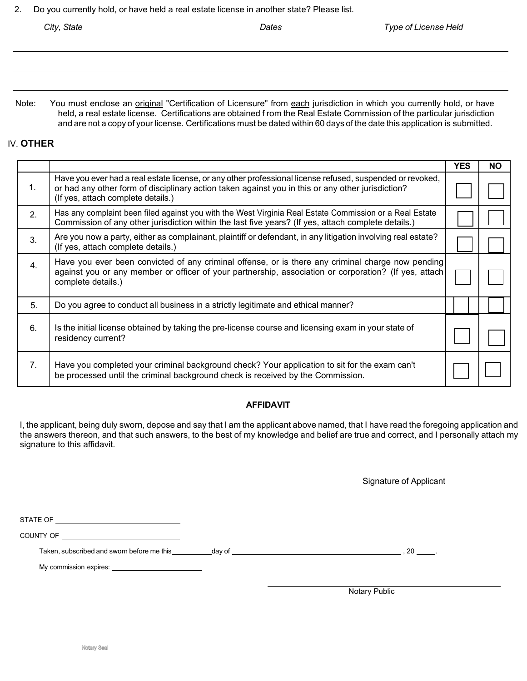2. Do you currently hold, or have held a real estate license in another state? Please list.

Note: You must enclose an *original* "Certification of Licensure" from each jurisdiction in which you currently hold, or have held, a real estate license. Certifications are obtained f rom the Real Estate Commission of the particular jurisdiction and are not a copy of your license. Certifications must be dated within 60 days of the date this application is submitted.

#### IV. **OTHER**

|                  |                                                                                                                                                                                                                                                      | <b>YES</b> | NΟ |
|------------------|------------------------------------------------------------------------------------------------------------------------------------------------------------------------------------------------------------------------------------------------------|------------|----|
| 1.               | Have you ever had a real estate license, or any other professional license refused, suspended or revoked,<br>or had any other form of disciplinary action taken against you in this or any other jurisdiction?<br>(If yes, attach complete details.) |            |    |
| 2.               | Has any complaint been filed against you with the West Virginia Real Estate Commission or a Real Estate<br>Commission of any other jurisdiction within the last five years? (If yes, attach complete details.)                                       |            |    |
| 3.               | Are you now a party, either as complainant, plaintiff or defendant, in any litigation involving real estate?<br>(If yes, attach complete details.)                                                                                                   |            |    |
| $\overline{4}$ . | Have you ever been convicted of any criminal offense, or is there any criminal charge now pending<br>against you or any member or officer of your partnership, association or corporation? (If yes, attach<br>complete details.)                     |            |    |
| 5.               | Do you agree to conduct all business in a strictly legitimate and ethical manner?                                                                                                                                                                    |            |    |
| 6.               | Is the initial license obtained by taking the pre-license course and licensing exam in your state of<br>residency current?                                                                                                                           |            |    |
| 7 <sub>1</sub>   | Have you completed your criminal background check? Your application to sit for the exam can't<br>be processed until the criminal background check is received by the Commission.                                                                     |            |    |

#### **AFFIDAVIT**

I, the applicant, being duly sworn, depose and say that I am the applicant above named, that I have read the foregoing application and the answers thereon, and that such answers, to the best of my knowledge and belief are true and correct, and I personally attach my signature to this affidavit.

Signature of Applicant STATE OF COUNTY OF Taken, subscribed and sworn before me this day of the state of the state of the state of the state of the state of the state of the state of the state of the state of the state of the state of the state of the state of the My commission expires:

Notary Public